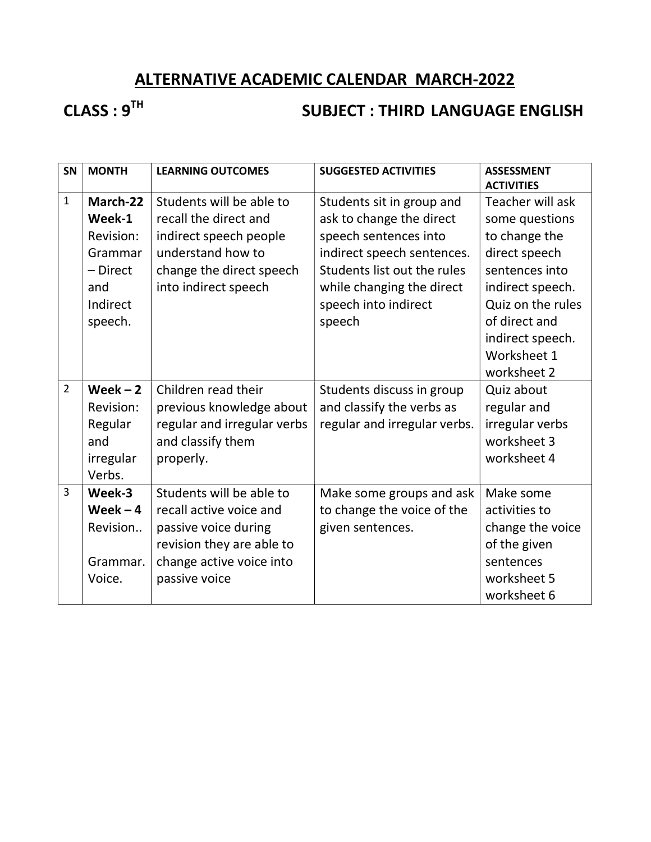# ALTERNATIVE ACADEMIC CALENDAR MARCH-2022

# CLASS : 9<sup>TH</sup> SUBJECT : THIRD LANGUAGE ENGLISH

| SN             | <b>MONTH</b> | <b>LEARNING OUTCOMES</b>    | <b>SUGGESTED ACTIVITIES</b>  | <b>ASSESSMENT</b><br><b>ACTIVITIES</b> |
|----------------|--------------|-----------------------------|------------------------------|----------------------------------------|
| $\mathbf{1}$   | March-22     | Students will be able to    | Students sit in group and    | Teacher will ask                       |
|                | Week-1       | recall the direct and       | ask to change the direct     | some questions                         |
|                | Revision:    | indirect speech people      | speech sentences into        | to change the                          |
|                | Grammar      | understand how to           | indirect speech sentences.   | direct speech                          |
|                | - Direct     | change the direct speech    | Students list out the rules  | sentences into                         |
|                | and          | into indirect speech        | while changing the direct    | indirect speech.                       |
|                | Indirect     |                             | speech into indirect         | Quiz on the rules                      |
|                | speech.      |                             | speech                       | of direct and                          |
|                |              |                             |                              | indirect speech.                       |
|                |              |                             |                              | Worksheet 1                            |
|                |              |                             |                              | worksheet 2                            |
| $\overline{2}$ | Week $-2$    | Children read their         | Students discuss in group    | Quiz about                             |
|                | Revision:    | previous knowledge about    | and classify the verbs as    | regular and                            |
|                | Regular      | regular and irregular verbs | regular and irregular verbs. | irregular verbs                        |
|                | and          | and classify them           |                              | worksheet 3                            |
|                | irregular    | properly.                   |                              | worksheet 4                            |
|                | Verbs.       |                             |                              |                                        |
| $\overline{3}$ | Week-3       | Students will be able to    | Make some groups and ask     | Make some                              |
|                | Week $-4$    | recall active voice and     | to change the voice of the   | activities to                          |
|                | Revision     | passive voice during        | given sentences.             | change the voice                       |
|                |              | revision they are able to   |                              | of the given                           |
|                | Grammar.     | change active voice into    |                              | sentences                              |
|                | Voice.       | passive voice               |                              | worksheet 5                            |
|                |              |                             |                              | worksheet 6                            |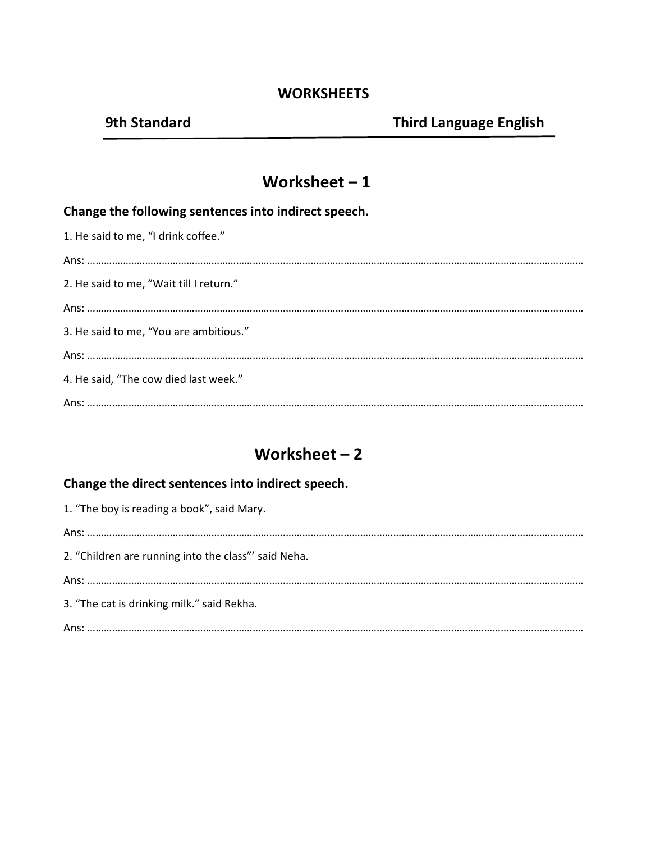#### **WORKSHEETS**

### Worksheet – 1

#### Change the following sentences into indirect speech.

| 1. He said to me, "I drink coffee."     |
|-----------------------------------------|
|                                         |
| 2. He said to me, "Wait till I return." |
|                                         |
| 3. He said to me, "You are ambitious."  |
|                                         |
| 4. He said, "The cow died last week."   |
|                                         |

# Worksheet – 2

#### Change the direct sentences into indirect speech.

| 1. "The boy is reading a book", said Mary.           |
|------------------------------------------------------|
|                                                      |
| 2. "Children are running into the class"' said Neha. |
|                                                      |
| 3. "The cat is drinking milk." said Rekha.           |
|                                                      |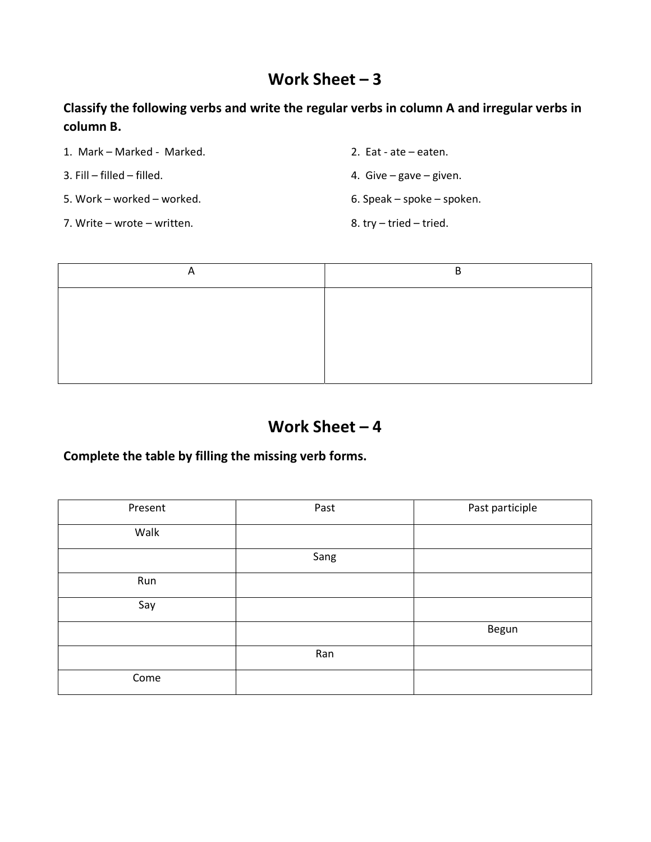# Work Sheet – 3

Classify the following verbs and write the regular verbs in column A and irregular verbs in column B.

1. Mark – Marked - Marked. 2. Eat - ate – eaten.

5. Work – worked – worked. 6. Speak – spoke – spoken.

7. Write – wrote – written. The same state of the set of the set of the set of the set of the set of the set of the set of the set of the set of the set of the set of the set of the set of the set of the set of the set of

3. Fill – filled – filled. 4. Give – gave – given.



# Work Sheet – 4

Complete the table by filling the missing verb forms.

| Present | Past | Past participle |
|---------|------|-----------------|
| Walk    |      |                 |
|         | Sang |                 |
| Run     |      |                 |
| Say     |      |                 |
|         |      | Begun           |
|         | Ran  |                 |
| Come    |      |                 |